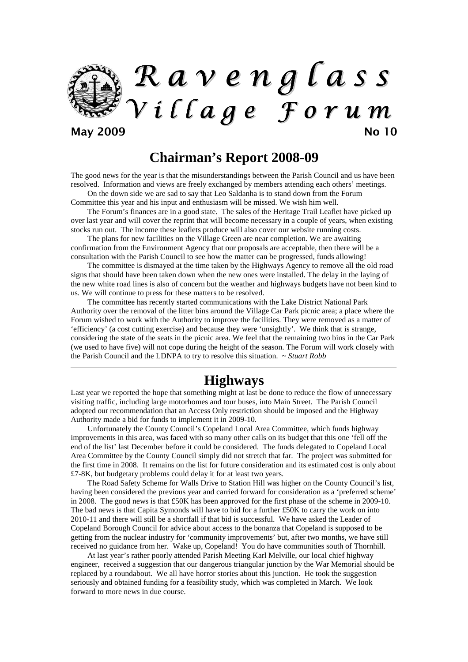

### **Chairman's Report 2008-09**

The good news for the year is that the misunderstandings between the Parish Council and us have been resolved. Information and views are freely exchanged by members attending each others' meetings.

On the down side we are sad to say that Leo Saldanha is to stand down from the Forum Committee this year and his input and enthusiasm will be missed. We wish him well.

The Forum's finances are in a good state. The sales of the Heritage Trail Leaflet have picked up over last year and will cover the reprint that will become necessary in a couple of years, when existing stocks run out. The income these leaflets produce will also cover our website running costs.

The plans for new facilities on the Village Green are near completion. We are awaiting confirmation from the Environment Agency that our proposals are acceptable, then there will be a consultation with the Parish Council to see how the matter can be progressed, funds allowing!

The committee is dismayed at the time taken by the Highways Agency to remove all the old road signs that should have been taken down when the new ones were installed. The delay in the laying of the new white road lines is also of concern but the weather and highways budgets have not been kind to us. We will continue to press for these matters to be resolved.

The committee has recently started communications with the Lake District National Park Authority over the removal of the litter bins around the Village Car Park picnic area; a place where the Forum wished to work with the Authority to improve the facilities. They were removed as a matter of 'efficiency' (a cost cutting exercise) and because they were 'unsightly'. We think that is strange, considering the state of the seats in the picnic area. We feel that the remaining two bins in the Car Park (we used to have five) will not cope during the height of the season. The Forum will work closely with the Parish Council and the LDNPA to try to resolve this situation. ~ *Stuart Robb*

## **Highways**

Last year we reported the hope that something might at last be done to reduce the flow of unnecessary visiting traffic, including large motorhomes and tour buses, into Main Street. The Parish Council adopted our recommendation that an Access Only restriction should be imposed and the Highway Authority made a bid for funds to implement it in 2009-10.

Unfortunately the County Council's Copeland Local Area Committee, which funds highway improvements in this area, was faced with so many other calls on its budget that this one 'fell off the end of the list' last December before it could be considered. The funds delegated to Copeland Local Area Committee by the County Council simply did not stretch that far. The project was submitted for the first time in 2008. It remains on the list for future consideration and its estimated cost is only about £7-8K, but budgetary problems could delay it for at least two years.

The Road Safety Scheme for Walls Drive to Station Hill was higher on the County Council's list, having been considered the previous year and carried forward for consideration as a 'preferred scheme' in 2008. The good news is that £50K has been approved for the first phase of the scheme in 2009-10. The bad news is that Capita Symonds will have to bid for a further £50K to carry the work on into 2010-11 and there will still be a shortfall if that bid is successful. We have asked the Leader of Copeland Borough Council for advice about access to the bonanza that Copeland is supposed to be getting from the nuclear industry for 'community improvements' but, after two months, we have still received no guidance from her. Wake up, Copeland! You do have communities south of Thornhill.

At last year's rather poorly attended Parish Meeting Karl Melville, our local chief highway engineer, received a suggestion that our dangerous triangular junction by the War Memorial should be replaced by a roundabout. We all have horror stories about this junction. He took the suggestion seriously and obtained funding for a feasibility study, which was completed in March. We look forward to more news in due course.